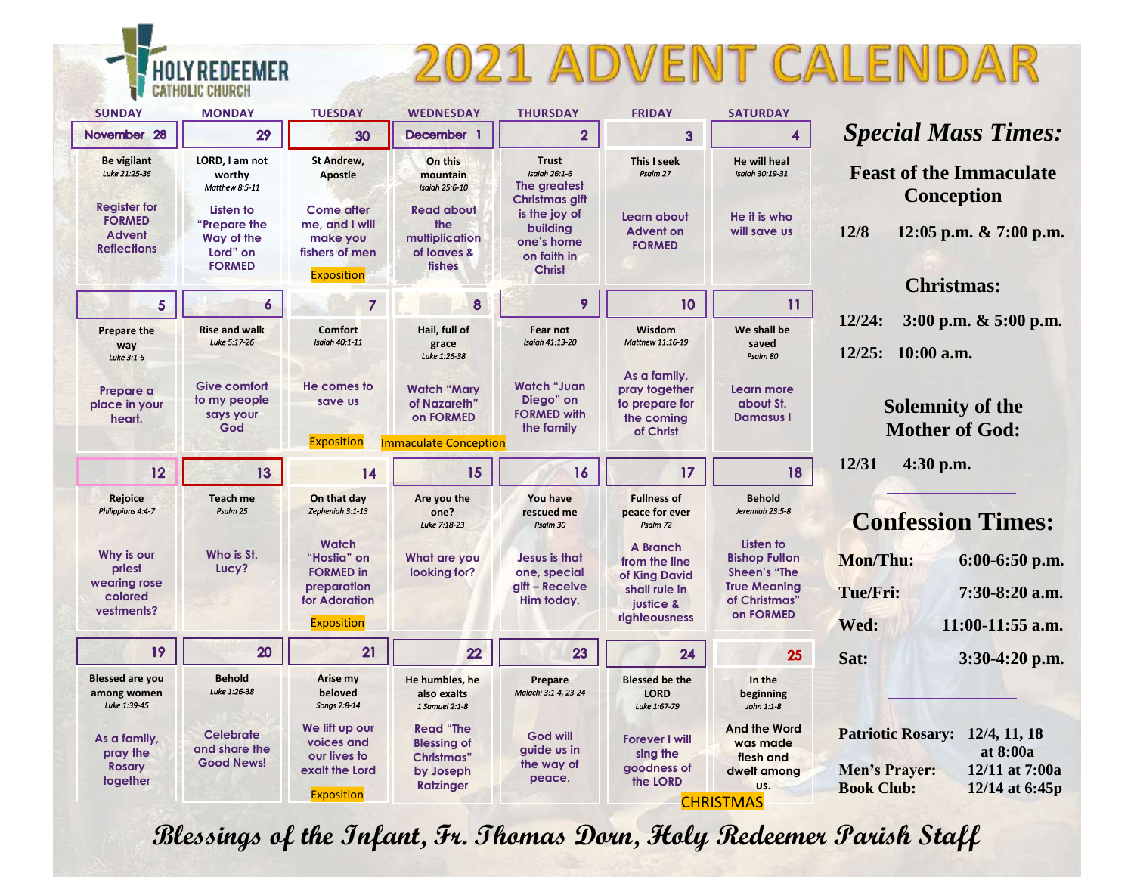## 2021 ADVENT CALENDAR

| <b>SUNDAY</b>                                                               | <b>MONDAY</b>                                                        | <b>TUESDAY</b>                                                                         | <b>WEDNESDAY</b>                                                                              | <b>THURSDAY</b>                                                                           | <b>FRIDAY</b>                                                                                    | <b>SATURDAY</b>                                                                                               |                                                                                                                                    |
|-----------------------------------------------------------------------------|----------------------------------------------------------------------|----------------------------------------------------------------------------------------|-----------------------------------------------------------------------------------------------|-------------------------------------------------------------------------------------------|--------------------------------------------------------------------------------------------------|---------------------------------------------------------------------------------------------------------------|------------------------------------------------------------------------------------------------------------------------------------|
| November 28                                                                 | 29                                                                   | 30                                                                                     | December 1                                                                                    | $\overline{2}$                                                                            | 3                                                                                                | 4                                                                                                             | <b>Special Mass Times:</b>                                                                                                         |
| <b>Be vigilant</b><br>Luke 21:25-36                                         | LORD, I am not<br>worthy<br>Matthew 8:5-11                           | <b>St Andrew,</b><br><b>Apostle</b>                                                    | On this<br>mountain<br><b>Isaiah 25:6-10</b>                                                  | <b>Trust</b><br><b>Isaiah 26:1-6</b><br>The greatest                                      | This I seek<br>Psalm 27                                                                          | <b>He will heal</b><br><b>Isaiah 30:19-31</b>                                                                 | <b>Feast of the Immaculate</b>                                                                                                     |
| <b>Register for</b><br><b>FORMED</b><br><b>Advent</b><br><b>Reflections</b> | Listen to<br>"Prepare the<br>Way of the<br>Lord" on<br><b>FORMED</b> | <b>Come after</b><br>me, and I will<br>make you<br>fishers of men<br><b>Exposition</b> | <b>Read about</b><br>the<br>multiplication<br>of loaves &<br>fishes                           | Christmas gift<br>is the joy of<br>building<br>one's home<br>on faith in<br><b>Christ</b> | Learn about<br><b>Advent on</b><br><b>FORMED</b>                                                 | He it is who<br>will save us                                                                                  | <b>Conception</b><br>12/8<br>12:05 p.m. $& 7:00$ p.m.<br><b>Christmas:</b>                                                         |
| 5 <sup>5</sup>                                                              | 6                                                                    | $\overline{7}$                                                                         | 8                                                                                             | 9                                                                                         | 10                                                                                               | 11                                                                                                            |                                                                                                                                    |
| <b>Prepare the</b><br>way<br>Luke 3:1-6                                     | <b>Rise and walk</b><br>Luke 5:17-26                                 | <b>Comfort</b><br><b>Isaiah 40:1-11</b>                                                | Hail, full of<br>grace<br>Luke 1:26-38                                                        | Fear not<br><b>Isaiah 41:13-20</b>                                                        | Wisdom<br>Matthew 11:16-19                                                                       | We shall be<br>saved<br>Psalm 80                                                                              | 12/24:<br>$3:00$ p.m. $\& 5:00$ p.m.<br>12/25: 10:00 a.m.                                                                          |
| Prepare a<br>place in your<br>heart.                                        | <b>Give comfort</b><br>to my people<br>says your<br>God              | He comes to<br>save us                                                                 | <b>Watch "Mary</b><br>of Nazareth'<br>on FORMED                                               | <b>Watch "Juan</b><br>Diego" on<br><b>FORMED with</b><br>the family                       | As a family,<br>pray together<br>to prepare for<br>the coming<br>of Christ                       | Learn more<br>about St.<br><b>Damasus I</b>                                                                   | <b>Solemnity of the</b><br><b>Mother of God:</b>                                                                                   |
|                                                                             |                                                                      | <b>Exposition</b><br><b>Immaculate Conception</b>                                      |                                                                                               |                                                                                           |                                                                                                  |                                                                                                               |                                                                                                                                    |
| 12                                                                          | 13                                                                   | 14                                                                                     | 15                                                                                            | 16                                                                                        | 17                                                                                               | 18                                                                                                            | 12/31<br>$4:30$ p.m.                                                                                                               |
| Rejoice<br>Philippians 4:4-7                                                | <b>Teach me</b><br>Psalm 25                                          | On that day<br>Zepheniah 3:1-13                                                        | Are you the<br>one?<br>Luke 7:18-23                                                           | You have<br>rescued me<br>Psalm 30                                                        | <b>Fullness of</b><br>peace for ever<br>Psalm 72                                                 | <b>Behold</b><br>Jeremiah 23:5-8                                                                              | <b>Confession Times:</b>                                                                                                           |
| Why is our<br>priest<br>wearing rose<br>colored<br>vestments?               | Who is St.<br>Lucy?                                                  | <b>Watch</b><br>"Hostia" on<br><b>FORMED in</b><br>preparation<br>for Adoration        | What are you<br>looking for?                                                                  | <b>Jesus is that</b><br>one, special<br>gift - Receive<br>Him today.                      | <b>A</b> Branch<br>from the line<br>of King David<br>shall rule in<br>justice &<br>righteousness | Listen to<br><b>Bishop Fulton</b><br><b>Sheen's "The</b><br><b>True Meaning</b><br>of Christmas"<br>on FORMED | Mon/Thu:<br>$6:00-6:50$ p.m.<br>Tue/Fri:<br>7:30-8:20 a.m.                                                                         |
|                                                                             |                                                                      | <b>Exposition</b>                                                                      |                                                                                               |                                                                                           |                                                                                                  |                                                                                                               | 11:00-11:55 a.m.<br>Wed:                                                                                                           |
| 19                                                                          | 20                                                                   | 21                                                                                     | 22                                                                                            | 23                                                                                        | 24                                                                                               | 25                                                                                                            | Sat:<br>$3:30-4:20$ p.m.                                                                                                           |
| <b>Blessed are you</b><br>among women<br>Luke 1:39-45                       | <b>Behold</b><br>Luke 1:26-38                                        | Arise my<br>beloved<br>Songs 2:8-14                                                    | He humbles, he<br>also exalts<br>1 Samuel 2:1-8                                               | Prepare<br>Malachi 3:1-4, 23-24                                                           | <b>Blessed be the</b><br><b>LORD</b><br>Luke 1:67-79                                             | In the<br>beginning<br>John 1:1-8                                                                             |                                                                                                                                    |
| As a family,<br>pray the<br><b>Rosary</b><br>together                       | <b>Celebrate</b><br>and share the<br><b>Good News!</b>               | We lift up our<br>voices and<br>our lives to<br>exalt the Lord<br><b>Exposition</b>    | <b>Read "The</b><br><b>Blessing of</b><br><b>Christmas</b> "<br>by Joseph<br><b>Ratzinger</b> | <b>God will</b><br>guide us in<br>the way of<br>peace.                                    | <b>Forever I will</b><br>sing the<br>goodness of<br>the LORD                                     | And the Word<br>was made<br>flesh and<br>dwelt amona<br>US.                                                   | <b>Patriotic Rosary: 12/4, 11, 18</b><br>at 8:00a<br><b>Men's Prayer:</b><br>12/11 at 7:00a<br><b>Book Club:</b><br>12/14 at 6:45p |
|                                                                             |                                                                      |                                                                                        |                                                                                               |                                                                                           |                                                                                                  | <b>CHRISTMAS</b>                                                                                              |                                                                                                                                    |

**MER** 

**CATHOLIC CHURCH** 

**Blessings of the Infant, Fr. Thomas Dorn, Holy Redeemer Parish Staff**